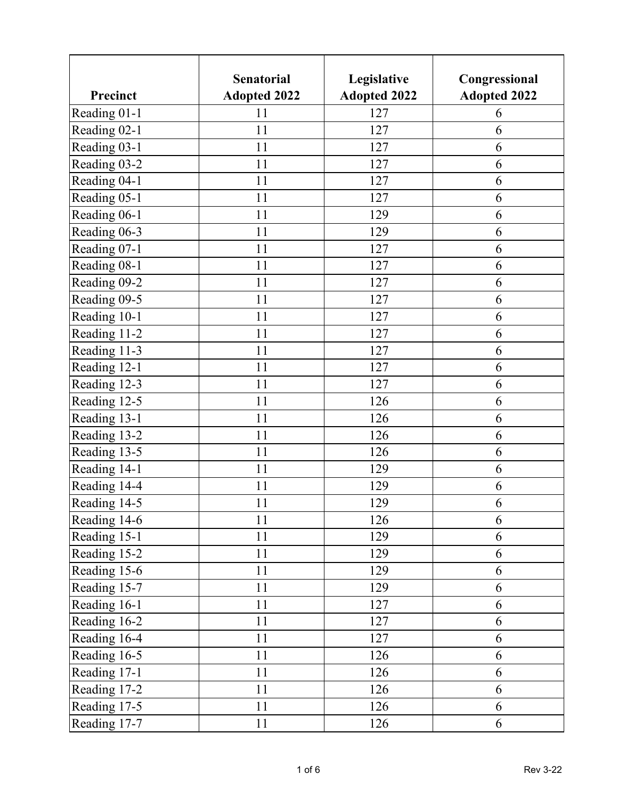|              | <b>Senatorial</b>   | Legislative         | Congressional       |
|--------------|---------------------|---------------------|---------------------|
| Precinct     | <b>Adopted 2022</b> | <b>Adopted 2022</b> | <b>Adopted 2022</b> |
| Reading 01-1 | 11                  | 127                 | 6                   |
| Reading 02-1 | 11                  | 127                 | 6                   |
| Reading 03-1 | 11                  | 127                 | 6                   |
| Reading 03-2 | 11                  | 127                 | 6                   |
| Reading 04-1 | 11                  | 127                 | 6                   |
| Reading 05-1 | 11                  | 127                 | 6                   |
| Reading 06-1 | 11                  | 129                 | 6                   |
| Reading 06-3 | 11                  | 129                 | 6                   |
| Reading 07-1 | 11                  | 127                 | 6                   |
| Reading 08-1 | 11                  | 127                 | 6                   |
| Reading 09-2 | 11                  | 127                 | 6                   |
| Reading 09-5 | 11                  | 127                 | 6                   |
| Reading 10-1 | 11                  | 127                 | 6                   |
| Reading 11-2 | 11                  | 127                 | 6                   |
| Reading 11-3 | 11                  | 127                 | 6                   |
| Reading 12-1 | 11                  | 127                 | 6                   |
| Reading 12-3 | 11                  | 127                 | 6                   |
| Reading 12-5 | 11                  | 126                 | 6                   |
| Reading 13-1 | 11                  | 126                 | 6                   |
| Reading 13-2 | 11                  | 126                 | 6                   |
| Reading 13-5 | 11                  | 126                 | 6                   |
| Reading 14-1 | 11                  | 129                 | 6                   |
| Reading 14-4 | 11                  | 129                 | 6                   |
| Reading 14-5 | 11                  | 129                 | 6                   |
| Reading 14-6 | 11                  | 126                 | 6                   |
| Reading 15-1 | 11                  | 129                 | 6                   |
| Reading 15-2 | 11                  | 129                 | 6                   |
| Reading 15-6 | 11                  | 129                 | 6                   |
| Reading 15-7 | 11                  | 129                 | 6                   |
| Reading 16-1 | 11                  | 127                 | 6                   |
| Reading 16-2 | 11                  | 127                 | 6                   |
| Reading 16-4 | 11                  | 127                 | 6                   |
| Reading 16-5 | 11                  | 126                 | 6                   |
| Reading 17-1 | 11                  | 126                 | 6                   |
| Reading 17-2 | 11                  | 126                 | 6                   |
| Reading 17-5 | 11                  | 126                 | 6                   |
| Reading 17-7 | 11                  | 126                 | 6                   |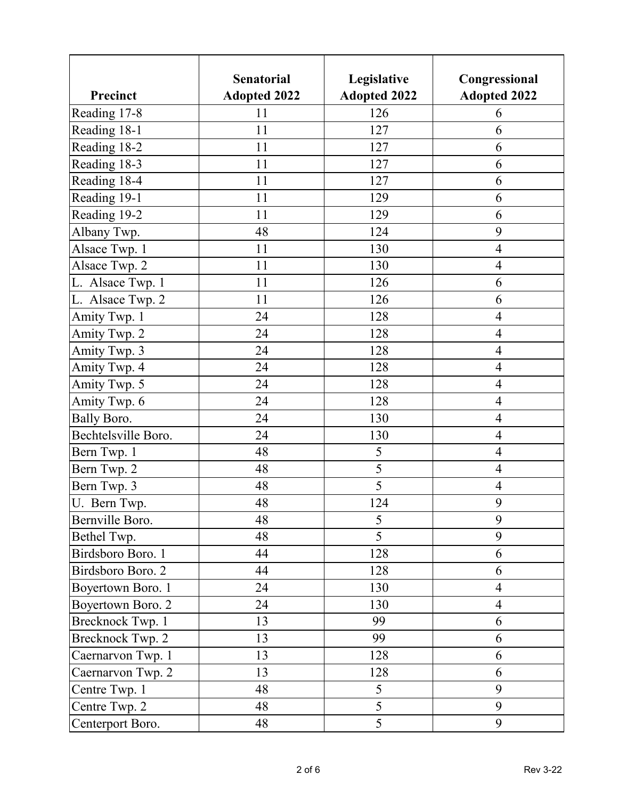|                     | <b>Senatorial</b>   | Legislative         | Congressional       |
|---------------------|---------------------|---------------------|---------------------|
| Precinct            | <b>Adopted 2022</b> | <b>Adopted 2022</b> | <b>Adopted 2022</b> |
| Reading 17-8        | 11                  | 126                 | 6                   |
| Reading 18-1        | 11                  | 127                 | 6                   |
| Reading 18-2        | 11                  | 127                 | 6                   |
| Reading 18-3        | 11                  | 127                 | 6                   |
| Reading 18-4        | 11                  | 127                 | 6                   |
| Reading 19-1        | 11                  | 129                 | 6                   |
| Reading 19-2        | 11                  | 129                 | 6                   |
| Albany Twp.         | 48                  | 124                 | 9                   |
| Alsace Twp. 1       | 11                  | 130                 | $\overline{4}$      |
| Alsace Twp. 2       | 11                  | 130                 | $\overline{4}$      |
| L. Alsace Twp. 1    | 11                  | 126                 | 6                   |
| L. Alsace Twp. 2    | 11                  | 126                 | 6                   |
| Amity Twp. 1        | 24                  | 128                 | $\overline{4}$      |
| Amity Twp. 2        | 24                  | 128                 | $\overline{4}$      |
| Amity Twp. 3        | 24                  | 128                 | $\overline{4}$      |
| Amity Twp. 4        | 24                  | 128                 | $\overline{4}$      |
| Amity Twp. 5        | 24                  | 128                 | $\overline{4}$      |
| Amity Twp. 6        | 24                  | 128                 | $\overline{4}$      |
| <b>Bally Boro.</b>  | 24                  | 130                 | $\overline{4}$      |
| Bechtelsville Boro. | 24                  | 130                 | $\overline{4}$      |
| Bern Twp. 1         | 48                  | 5                   | $\overline{4}$      |
| Bern Twp. 2         | 48                  | 5                   | $\overline{4}$      |
| Bern Twp. 3         | 48                  | 5                   | $\overline{4}$      |
| U. Bern Twp.        | 48                  | 124                 | 9                   |
| Bernville Boro.     | 48                  | 5                   | 9                   |
| Bethel Twp.         | 48                  | 5                   | 9                   |
| Birdsboro Boro. 1   | 44                  | 128                 | 6                   |
| Birdsboro Boro. 2   | 44                  | 128                 | 6                   |
| Boyertown Boro. 1   | 24                  | 130                 | $\overline{4}$      |
| Boyertown Boro. 2   | 24                  | 130                 | $\overline{4}$      |
| Brecknock Twp. 1    | 13                  | 99                  | 6                   |
| Brecknock Twp. 2    | 13                  | 99                  | 6                   |
| Caernarvon Twp. 1   | 13                  | 128                 | 6                   |
| Caernarvon Twp. 2   | 13                  | 128                 | 6                   |
| Centre Twp. 1       | 48                  | 5                   | 9                   |
| Centre Twp. 2       | 48                  | 5                   | 9                   |
| Centerport Boro.    | 48                  | 5                   | 9                   |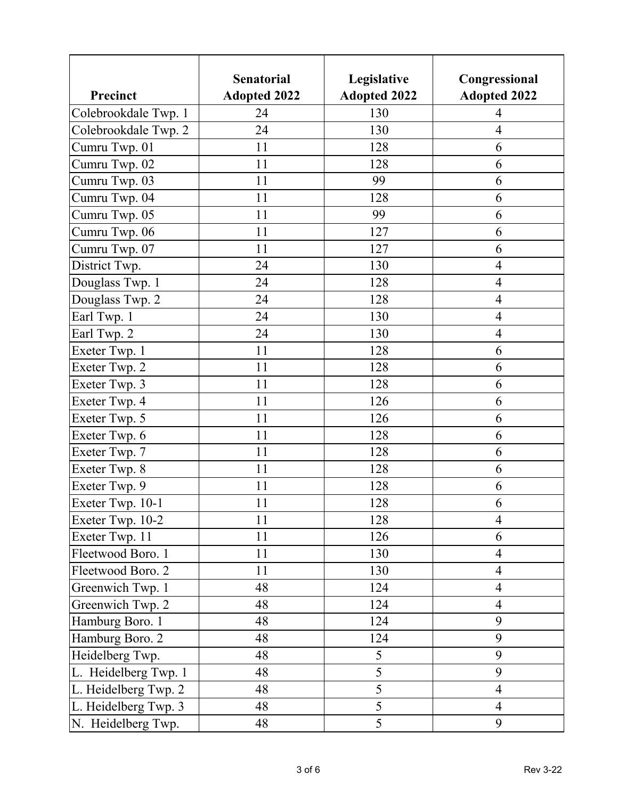|                      | <b>Senatorial</b>   | Legislative         | Congressional       |
|----------------------|---------------------|---------------------|---------------------|
| Precinct             | <b>Adopted 2022</b> | <b>Adopted 2022</b> | <b>Adopted 2022</b> |
| Colebrookdale Twp. 1 | 24                  | 130                 | 4                   |
| Colebrookdale Twp. 2 | 24                  | 130                 | $\overline{4}$      |
| Cumru Twp. 01        | 11                  | 128                 | 6                   |
| Cumru Twp. 02        | 11                  | 128                 | 6                   |
| Cumru Twp. 03        | 11                  | 99                  | 6                   |
| Cumru Twp. 04        | 11                  | 128                 | 6                   |
| Cumru Twp. 05        | 11                  | 99                  | 6                   |
| Cumru Twp. 06        | 11                  | 127                 | 6                   |
| Cumru Twp. 07        | 11                  | 127                 | 6                   |
| District Twp.        | 24                  | 130                 | $\overline{4}$      |
| Douglass Twp. 1      | 24                  | 128                 | $\overline{4}$      |
| Douglass Twp. 2      | 24                  | 128                 | $\overline{4}$      |
| Earl Twp. 1          | 24                  | 130                 | $\overline{4}$      |
| Earl Twp. 2          | 24                  | 130                 | $\overline{4}$      |
| Exeter Twp. 1        | 11                  | 128                 | 6                   |
| Exeter Twp. 2        | 11                  | 128                 | 6                   |
| Exeter Twp. 3        | 11                  | 128                 | 6                   |
| Exeter Twp. 4        | 11                  | 126                 | 6                   |
| Exeter Twp. 5        | 11                  | 126                 | 6                   |
| Exeter Twp. 6        | 11                  | 128                 | 6                   |
| Exeter Twp. 7        | 11                  | 128                 | 6                   |
| Exeter Twp. 8        | 11                  | 128                 | 6                   |
| Exeter Twp. 9        | 11                  | 128                 | 6                   |
| Exeter Twp. 10-1     | 11                  | 128                 | 6                   |
| Exeter Twp. 10-2     | 11                  | 128                 | $\overline{4}$      |
| Exeter Twp. 11       | 11                  | 126                 | 6                   |
| Fleetwood Boro. 1    | 11                  | 130                 | $\overline{4}$      |
| Fleetwood Boro. 2    | 11                  | 130                 | $\overline{4}$      |
| Greenwich Twp. 1     | 48                  | 124                 | $\overline{4}$      |
| Greenwich Twp. 2     | 48                  | 124                 | $\overline{4}$      |
| Hamburg Boro. 1      | 48                  | 124                 | 9                   |
| Hamburg Boro. 2      | 48                  | 124                 | 9                   |
| Heidelberg Twp.      | 48                  | 5                   | 9                   |
| L. Heidelberg Twp. 1 | 48                  | 5                   | 9                   |
| L. Heidelberg Twp. 2 | 48                  | 5                   | $\overline{4}$      |
| L. Heidelberg Twp. 3 | 48                  | 5                   | $\overline{4}$      |
| N. Heidelberg Twp.   | 48                  | $\overline{5}$      | 9                   |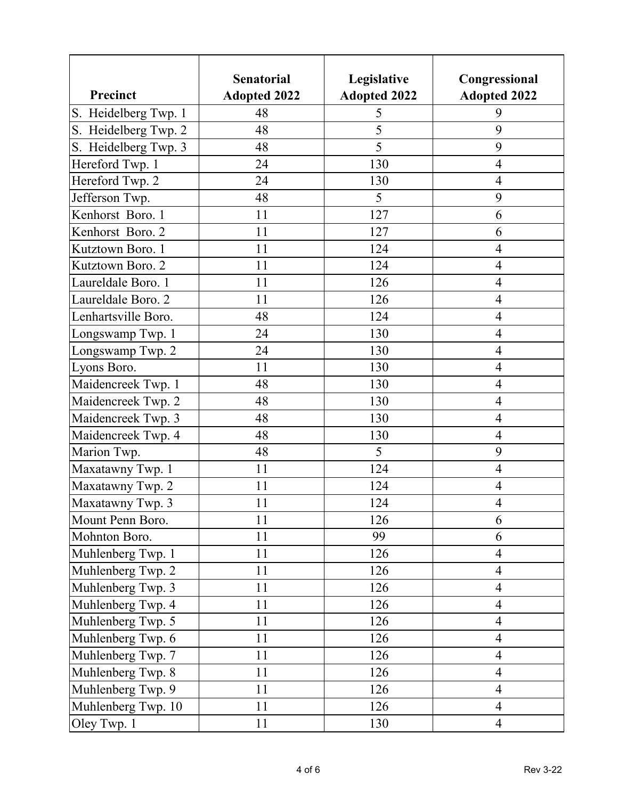|                      | <b>Senatorial</b>   | Legislative         | Congressional       |
|----------------------|---------------------|---------------------|---------------------|
| Precinct             | <b>Adopted 2022</b> | <b>Adopted 2022</b> | <b>Adopted 2022</b> |
| S. Heidelberg Twp. 1 | 48                  | 5                   | 9                   |
| S. Heidelberg Twp. 2 | 48                  | 5                   | 9                   |
| S. Heidelberg Twp. 3 | 48                  | 5                   | 9                   |
| Hereford Twp. 1      | 24                  | 130                 | 4                   |
| Hereford Twp. 2      | 24                  | 130                 | $\overline{4}$      |
| Jefferson Twp.       | 48                  | 5                   | 9                   |
| Kenhorst Boro. 1     | 11                  | 127                 | 6                   |
| Kenhorst Boro. 2     | 11                  | 127                 | 6                   |
| Kutztown Boro. 1     | 11                  | 124                 | $\overline{4}$      |
| Kutztown Boro. 2     | 11                  | 124                 | $\overline{4}$      |
| Laureldale Boro. 1   | 11                  | 126                 | $\overline{4}$      |
| Laureldale Boro. 2   | 11                  | 126                 | $\overline{4}$      |
| Lenhartsville Boro.  | 48                  | 124                 | $\overline{4}$      |
| Longswamp Twp. 1     | 24                  | 130                 | $\overline{4}$      |
| Longswamp Twp. 2     | 24                  | 130                 | $\overline{4}$      |
| Lyons Boro.          | 11                  | 130                 | 4                   |
| Maidencreek Twp. 1   | 48                  | 130                 | $\overline{4}$      |
| Maidencreek Twp. 2   | 48                  | 130                 | $\overline{4}$      |
| Maidencreek Twp. 3   | 48                  | 130                 | $\overline{4}$      |
| Maidencreek Twp. 4   | 48                  | 130                 | $\overline{4}$      |
| Marion Twp.          | 48                  | 5                   | 9                   |
| Maxatawny Twp. 1     | 11                  | 124                 | $\overline{4}$      |
| Maxatawny Twp. 2     | 11                  | 124                 | $\overline{4}$      |
| Maxatawny Twp. 3     | 11                  | 124                 | $\overline{4}$      |
| Mount Penn Boro.     | 11                  | 126                 | 6                   |
| Mohnton Boro.        | 11                  | 99                  | 6                   |
| Muhlenberg Twp. 1    | 11                  | 126                 | $\overline{4}$      |
| Muhlenberg Twp. 2    | 11                  | 126                 | $\overline{4}$      |
| Muhlenberg Twp. 3    | 11                  | 126                 | $\overline{4}$      |
| Muhlenberg Twp. 4    | 11                  | 126                 | $\overline{4}$      |
| Muhlenberg Twp. 5    | 11                  | 126                 | $\overline{4}$      |
| Muhlenberg Twp. 6    | 11                  | 126                 | $\overline{4}$      |
| Muhlenberg Twp. 7    | 11                  | 126                 | $\overline{4}$      |
| Muhlenberg Twp. 8    | 11                  | 126                 | $\overline{4}$      |
| Muhlenberg Twp. 9    | 11                  | 126                 | $\overline{4}$      |
| Muhlenberg Twp. 10   | 11                  | 126                 | $\overline{4}$      |
| Oley Twp. 1          | 11                  | 130                 | $\overline{4}$      |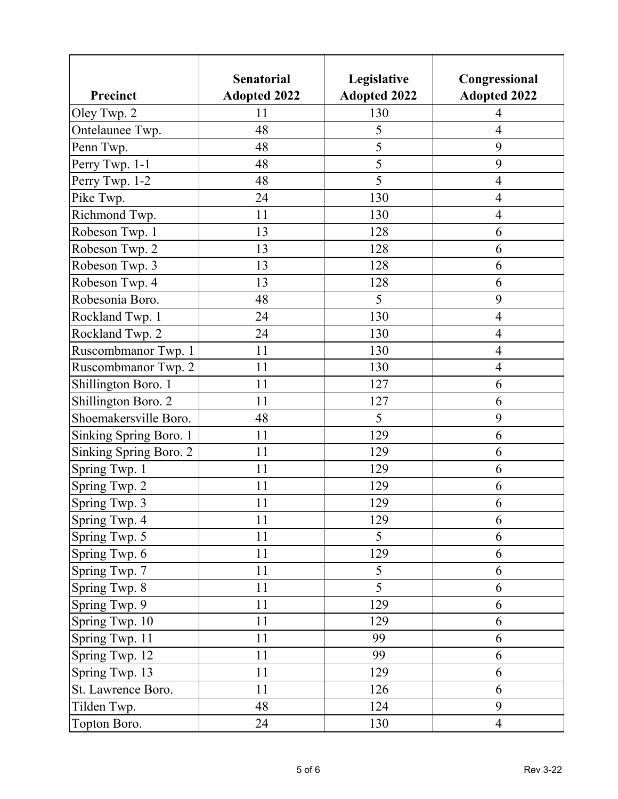|                        | <b>Senatorial</b>   | Legislative         | Congressional       |
|------------------------|---------------------|---------------------|---------------------|
| Precinct               | <b>Adopted 2022</b> | <b>Adopted 2022</b> | <b>Adopted 2022</b> |
| Oley Twp. 2            | 11                  | 130                 | 4<br>$\overline{4}$ |
| Ontelaunee Twp.        | 48                  | 5<br>5              | 9                   |
| Penn Twp.              | 48                  |                     |                     |
| Perry Twp. 1-1         | 48                  | 5                   | 9                   |
| Perry Twp. 1-2         | 48                  | 5                   | $\overline{4}$      |
| Pike Twp.              | 24                  | 130                 | 4                   |
| Richmond Twp.          | 11                  | 130                 | $\overline{4}$      |
| Robeson Twp. 1         | 13                  | 128                 | 6                   |
| Robeson Twp. 2         | 13                  | 128                 | 6                   |
| Robeson Twp. 3         | 13                  | 128                 | 6                   |
| Robeson Twp. 4         | 13                  | 128                 | 6                   |
| Robesonia Boro.        | 48                  | 5                   | 9                   |
| Rockland Twp. 1        | 24                  | 130                 | $\overline{4}$      |
| Rockland Twp. 2        | 24                  | 130                 | $\overline{4}$      |
| Ruscombmanor Twp. 1    | 11                  | 130                 | $\overline{4}$      |
| Ruscombmanor Twp. 2    | 11                  | 130                 | $\overline{4}$      |
| Shillington Boro. 1    | 11                  | 127                 | 6                   |
| Shillington Boro. 2    | 11                  | 127                 | 6                   |
| Shoemakersville Boro.  | 48                  | 5                   | 9                   |
| Sinking Spring Boro. 1 | 11                  | 129                 | 6                   |
| Sinking Spring Boro. 2 | 11                  | 129                 | 6                   |
| Spring Twp. 1          | 11                  | 129                 | 6                   |
| Spring Twp. 2          | 11                  | 129                 | 6                   |
| Spring Twp. 3          | 11                  | 129                 | 6                   |
| Spring Twp. 4          | 11                  | 129                 | 6                   |
| Spring Twp. 5          | 11                  | $5\overline{)}$     | 6                   |
| Spring Twp. 6          | 11                  | 129                 | 6                   |
| Spring Twp. 7          | 11                  | 5                   | 6                   |
| Spring Twp. 8          | 11                  | 5                   | 6                   |
| Spring Twp. 9          | 11                  | 129                 | 6                   |
| Spring Twp. 10         | 11                  | 129                 | 6                   |
| Spring Twp. 11         | 11                  | 99                  | 6                   |
| Spring Twp. 12         | 11                  | 99                  | 6                   |
| Spring Twp. 13         | 11                  | 129                 | 6                   |
| St. Lawrence Boro.     | 11                  | 126                 | 6                   |
| Tilden Twp.            | 48                  | 124                 | 9                   |
| Topton Boro.           | 24                  | 130                 | $\overline{4}$      |